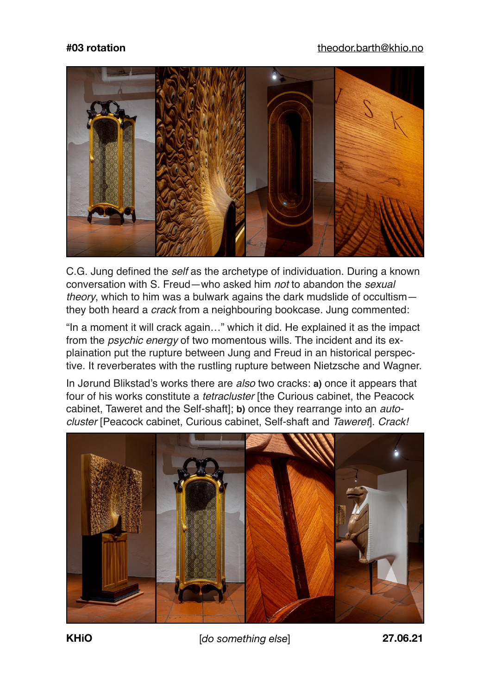

C.G. Jung defined the *self* as the archetype of individuation. During a known conversation with S. Freud—who asked him *not* to abandon the *sexual theory*, which to him was a bulwark agains the dark mudslide of occultism they both heard a *crack* from a neighbouring bookcase. Jung commented:

"In a moment it will crack again…" which it did. He explained it as the impact from the *psychic energy* of two momentous wills. The incident and its explaination put the rupture between Jung and Freud in an historical perspective. It reverberates with the rustling rupture between Nietzsche and Wagner.

In Jørund Blikstad's works there are *also* two cracks: **a)** once it appears that four of his works constitute a *tetracluster* [the Curious cabinet, the Peacock cabinet, Taweret and the Self-shaft]; **b)** once they rearrange into an *autocluster* [Peacock cabinet, Curious cabinet, Self-shaft and *Taweret*]. *Crack!*



**KHiO** [*do something else*] **27.06.21**